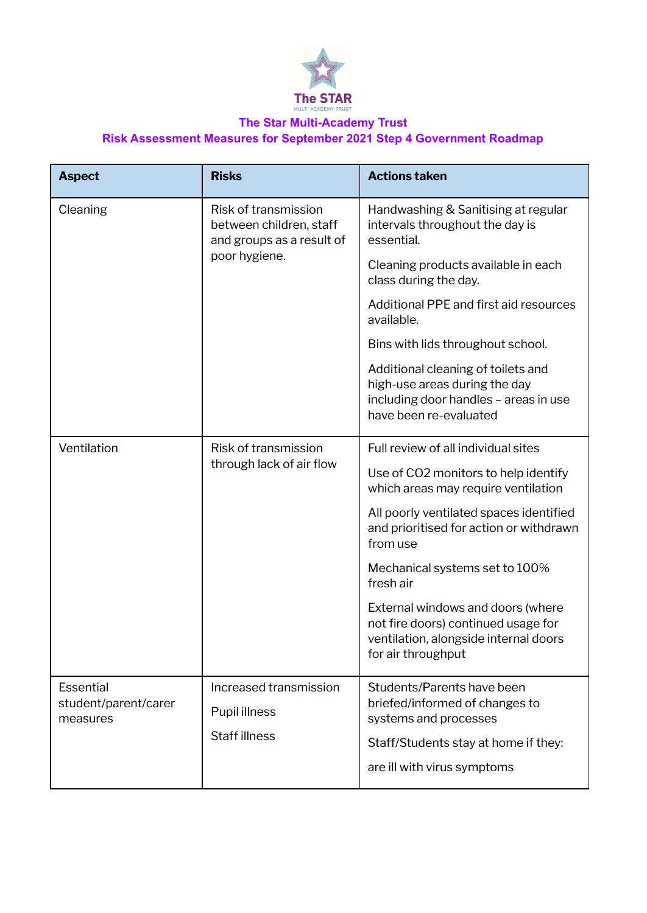

## **The Star Multi-Academy Trust Risk Assessment Measures for September 2021 Step 4 Government Roadmap**

| <b>Aspect</b>                                        | <b>Risks</b>                                                                                  | <b>Actions taken</b>                                                                                                                    |
|------------------------------------------------------|-----------------------------------------------------------------------------------------------|-----------------------------------------------------------------------------------------------------------------------------------------|
| Cleaning                                             | Risk of transmission<br>between children, staff<br>and groups as a result of<br>poor hygiene. | Handwashing & Sanitising at regular<br>intervals throughout the day is<br>essential.                                                    |
|                                                      |                                                                                               | Cleaning products available in each<br>class during the day.                                                                            |
|                                                      |                                                                                               | Additional PPE and first aid resources<br>available.                                                                                    |
|                                                      |                                                                                               | Bins with lids throughout school.                                                                                                       |
|                                                      |                                                                                               | Additional cleaning of toilets and<br>high-use areas during the day<br>including door handles - areas in use<br>have been re-evaluated  |
| Ventilation                                          | Risk of transmission<br>through lack of air flow                                              | Full review of all individual sites                                                                                                     |
|                                                      |                                                                                               | Use of CO2 monitors to help identify<br>which areas may require ventilation                                                             |
|                                                      |                                                                                               | All poorly ventilated spaces identified<br>and prioritised for action or withdrawn<br>from use                                          |
|                                                      |                                                                                               | Mechanical systems set to 100%<br>fresh air                                                                                             |
|                                                      |                                                                                               | External windows and doors (where<br>not fire doors) continued usage for<br>ventilation, alongside internal doors<br>for air throughput |
| <b>Essential</b><br>student/parent/carer<br>measures | Increased transmission<br>Pupil illness<br><b>Staff illness</b>                               | Students/Parents have been                                                                                                              |
|                                                      |                                                                                               | briefed/informed of changes to<br>systems and processes                                                                                 |
|                                                      |                                                                                               | Staff/Students stay at home if they:                                                                                                    |
|                                                      |                                                                                               | are ill with virus symptoms                                                                                                             |